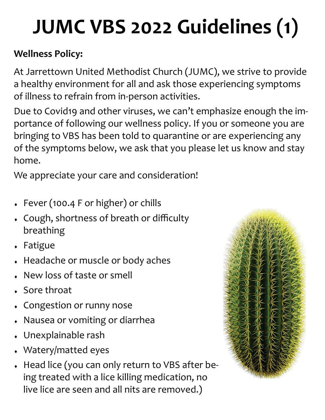# **JUMC VBS 2022 Guidelines (1)**

### **Wellness Policy:**

At Jarrettown United Methodist Church (JUMC), we strive to provide a healthy environment for all and ask those experiencing symptoms of illness to refrain from in-person activities.

Due to Covid19 and other viruses, we can't emphasize enough the importance of following our wellness policy. If you or someone you are bringing to VBS has been told to quarantine or are experiencing any of the symptoms below, we ask that you please let us know and stay home.

We appreciate your care and consideration!

- Fever (100.4 F or higher) or chills
- Cough, shortness of breath or difficulty breathing
- Fatigue
- Headache or muscle or body aches
- New loss of taste or smell
- Sore throat
- Congestion or runny nose
- Nausea or vomiting or diarrhea
- Unexplainable rash
- Watery/matted eyes
- Head lice (you can only return to VBS after being treated with a lice killing medication, no live lice are seen and all nits are removed.)

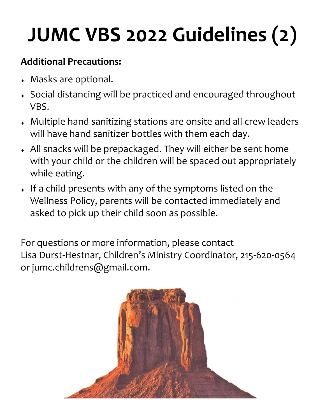# **JUMC VBS 2022 Guidelines (2)**

### **Additional Precautions:**

- Masks are optional.
- Social distancing will be practiced and encouraged throughout VBS.
- Multiple hand sanitizing stations are onsite and all crew leaders will have hand sanitizer bottles with them each day.
- All snacks will be prepackaged. They will either be sent home with your child or the children will be spaced out appropriately while eating.
- If a child presents with any of the symptoms listed on the Wellness Policy, parents will be contacted immediately and asked to pick up their child soon as possible.

For questions or more information, please contact Lisa Durst-Hestnar, Children's Ministry Coordinator, 215-620-0564 or jumc.childrens@gmail.com.